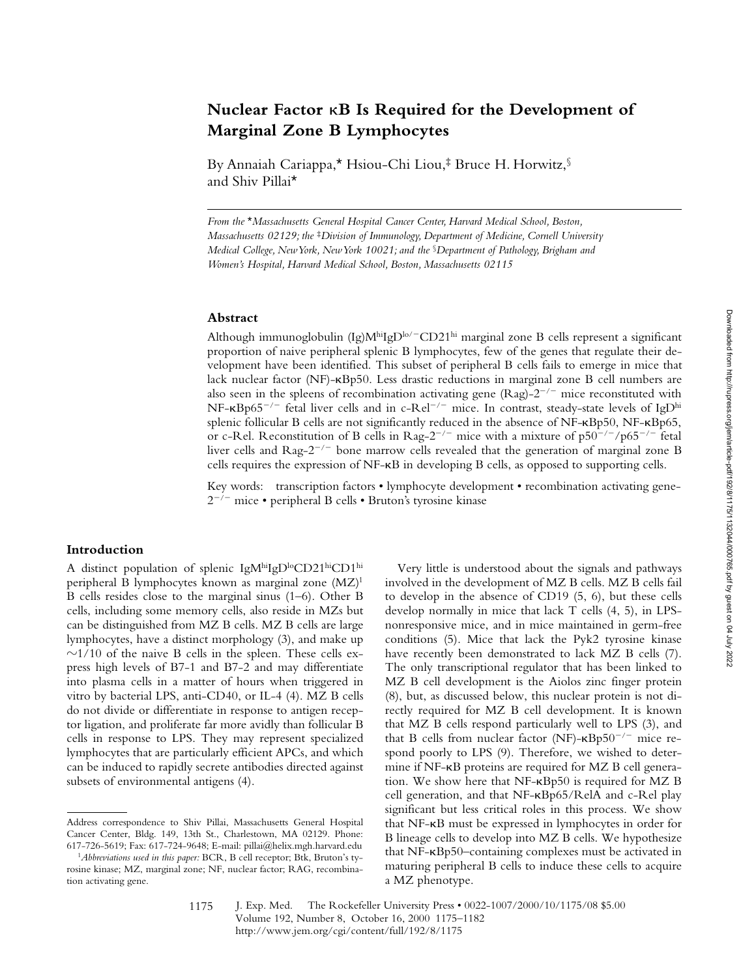# **Nuclear Factor** k**B Is Required for the Development of Marginal Zone B Lymphocytes**

By Annaiah Cariappa,\* Hsiou-Chi Liou,‡ Bruce H. Horwitz,§ and Shiv Pillai\*

*From the* \**Massachusetts General Hospital Cancer Center, Harvard Medical School, Boston, Massachusetts 02129; the* ‡*Division of Immunology, Department of Medicine, Cornell University Medical College, New York, New York 10021; and the* §*Department of Pathology, Brigham and Women's Hospital, Harvard Medical School, Boston, Massachusetts 02115*

#### **Abstract**

Although immunoglobulin  $(Ig)M^{\text{hi}}IgD^{\text{lo}/-CD21^{\text{hi}}}$  marginal zone B cells represent a significant proportion of naive peripheral splenic B lymphocytes, few of the genes that regulate their development have been identified. This subset of peripheral B cells fails to emerge in mice that lack nuclear factor (NF)-kBp50. Less drastic reductions in marginal zone B cell numbers are also seen in the spleens of recombination activating gene (Rag)- $2^{-/-}$  mice reconstituted with NF- $\kappa$ Bp65<sup>-/-</sup> fetal liver cells and in c-Rel<sup>-/-</sup> mice. In contrast, steady-state levels of IgD<sup>hi</sup> splenic follicular B cells are not significantly reduced in the absence of NF- $\kappa Bp50$ , NF- $\kappa Bp65$ , or c-Rel. Reconstitution of B cells in Rag-2<sup>-/-</sup> mice with a mixture of  $p50^{-/-}/p65^{-/-}$  fetal liver cells and Rag- $2^{-/-}$  bone marrow cells revealed that the generation of marginal zone B cells requires the expression of NF-kB in developing B cells, as opposed to supporting cells.

Key words: transcription factors • lymphocyte development • recombination activating gene- $2^{-/-}$  mice • peripheral B cells • Bruton's tyrosine kinase

## **Introduction**

A distinct population of splenic IgMhiIgDloCD21hiCD1hi peripheral B lymphocytes known as marginal zone (MZ)1 B cells resides close to the marginal sinus (1–6). Other B cells, including some memory cells, also reside in MZs but can be distinguished from MZ B cells. MZ B cells are large lymphocytes, have a distinct morphology (3), and make up  $\sim$ 1/10 of the naive B cells in the spleen. These cells express high levels of B7-1 and B7-2 and may differentiate into plasma cells in a matter of hours when triggered in vitro by bacterial LPS, anti-CD40, or IL-4 (4). MZ B cells do not divide or differentiate in response to antigen receptor ligation, and proliferate far more avidly than follicular B cells in response to LPS. They may represent specialized lymphocytes that are particularly efficient APCs, and which can be induced to rapidly secrete antibodies directed against subsets of environmental antigens (4).

Very little is understood about the signals and pathways involved in the development of MZ B cells. MZ B cells fail to develop in the absence of CD19 (5, 6), but these cells develop normally in mice that lack T cells (4, 5), in LPSnonresponsive mice, and in mice maintained in germ-free conditions (5). Mice that lack the Pyk2 tyrosine kinase have recently been demonstrated to lack MZ B cells (7). The only transcriptional regulator that has been linked to MZ B cell development is the Aiolos zinc finger protein (8), but, as discussed below, this nuclear protein is not directly required for MZ B cell development. It is known that MZ B cells respond particularly well to LPS (3), and that B cells from nuclear factor (NF)- $\kappa$ Bp50<sup>-/-</sup> mice respond poorly to LPS (9). Therefore, we wished to determine if NF-kB proteins are required for MZ B cell generation. We show here that NF-kBp50 is required for MZ B cell generation, and that NF-KBp65/RelA and c-Rel play significant but less critical roles in this process. We show that NF-kB must be expressed in lymphocytes in order for B lineage cells to develop into MZ B cells. We hypothesize that NF-kBp50–containing complexes must be activated in maturing peripheral B cells to induce these cells to acquire a MZ phenotype.

Address correspondence to Shiv Pillai, Massachusetts General Hospital Cancer Center, Bldg. 149, 13th St., Charlestown, MA 02129. Phone: 617-726-5619; Fax: 617-724-9648; E-mail: pillai@helix.mgh.harvard.edu

<sup>1</sup>*Abbreviations used in this paper:* BCR, B cell receptor; Btk, Bruton's tyrosine kinase; MZ, marginal zone; NF, nuclear factor; RAG, recombination activating gene.

J. Exp. Med. © The Rockefeller University Press • 0022-1007/2000/10/1175/08 \$5.00 Volume 192, Number 8, October 16, 2000 1175–1182 http://www.jem.org/cgi/content/full/192/8/1175 1175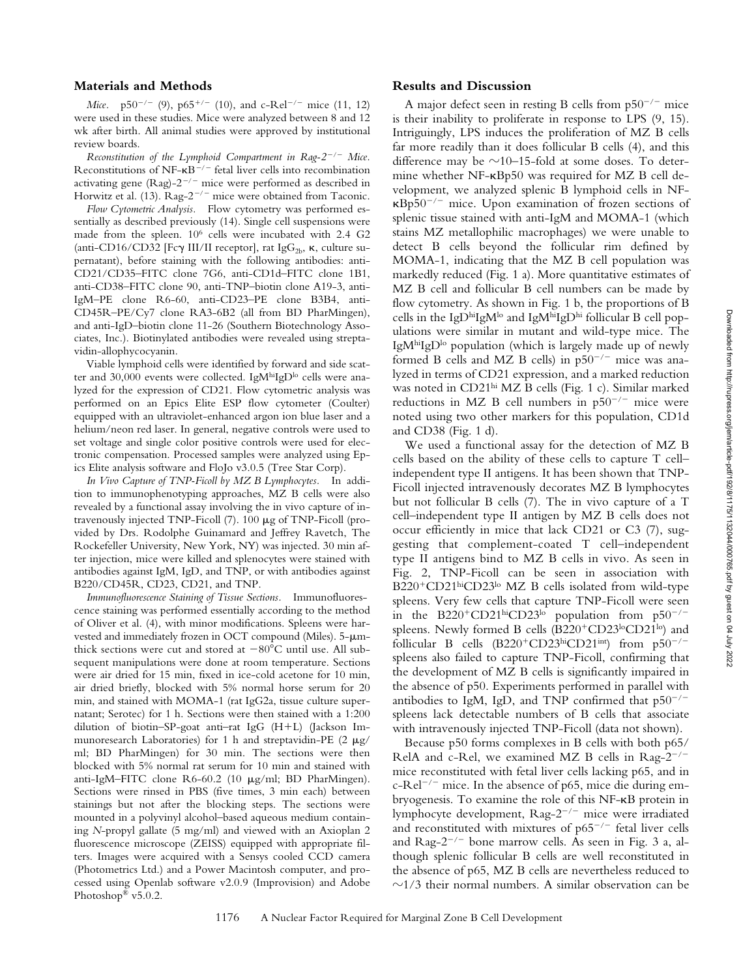### **Materials and Methods**

*Mice.*  $p50^{-/-}$  (9),  $p65^{+/-}$  (10), and c-Rel<sup>-/-</sup> mice (11, 12) were used in these studies. Mice were analyzed between 8 and 12 wk after birth. All animal studies were approved by institutional review boards.

*Reconstitution of the Lymphoid Compartment in Rag-2<sup>-/-</sup> Mice.* Reconstitutions of NF- $\kappa$ B<sup>-/-</sup> fetal liver cells into recombination activating gene (Rag)- $2^{-/-}$  mice were performed as described in Horwitz et al. (13).  $\text{Rag-2}^{-/-}$  mice were obtained from Taconic.

*Flow Cytometric Analysis.* Flow cytometry was performed essentially as described previously (14). Single cell suspensions were made from the spleen. 106 cells were incubated with 2.4 G2 (anti-CD16/CD32 [Fc $\gamma$  III/II receptor], rat IgG<sub>2b</sub>,  $\kappa$ , culture supernatant), before staining with the following antibodies: anti-CD21/CD35–FITC clone 7G6, anti-CD1d–FITC clone 1B1, anti-CD38–FITC clone 90, anti-TNP–biotin clone A19-3, anti-IgM–PE clone R6-60, anti-CD23–PE clone B3B4, anti-CD45R–PE/Cy7 clone RA3-6B2 (all from BD PharMingen), and anti-IgD–biotin clone 11-26 (Southern Biotechnology Associates, Inc.). Biotinylated antibodies were revealed using streptavidin-allophycocyanin.

Viable lymphoid cells were identified by forward and side scatter and 30,000 events were collected. IgM<sup>hi</sup>IgD<sup>lo</sup> cells were analyzed for the expression of CD21. Flow cytometric analysis was performed on an Epics Elite ESP flow cytometer (Coulter) equipped with an ultraviolet-enhanced argon ion blue laser and a helium/neon red laser. In general, negative controls were used to set voltage and single color positive controls were used for electronic compensation. Processed samples were analyzed using Epics Elite analysis software and FloJo v3.0.5 (Tree Star Corp).

*In Vivo Capture of TNP-Ficoll by MZ B Lymphocytes.* In addition to immunophenotyping approaches, MZ B cells were also revealed by a functional assay involving the in vivo capture of intravenously injected TNP-Ficoll (7). 100 mg of TNP-Ficoll (provided by Drs. Rodolphe Guinamard and Jeffrey Ravetch, The Rockefeller University, New York, NY) was injected. 30 min after injection, mice were killed and splenocytes were stained with antibodies against IgM, IgD, and TNP, or with antibodies against B220/CD45R, CD23, CD21, and TNP.

*Immunofluorescence Staining of Tissue Sections.* Immunofluorescence staining was performed essentially according to the method of Oliver et al. (4), with minor modifications. Spleens were harvested and immediately frozen in OCT compound (Miles). 5- $\mu$ mthick sections were cut and stored at  $-80^{\circ}$ C until use. All subsequent manipulations were done at room temperature. Sections were air dried for 15 min, fixed in ice-cold acetone for 10 min, air dried briefly, blocked with 5% normal horse serum for 20 min, and stained with MOMA-1 (rat IgG2a, tissue culture supernatant; Serotec) for 1 h. Sections were then stained with a 1:200 dilution of biotin–SP-goat anti–rat IgG  $(H+L)$  (Jackson Immunoresearch Laboratories) for 1 h and streptavidin-PE (2  $\mu$ g/ ml; BD PharMingen) for 30 min. The sections were then blocked with 5% normal rat serum for 10 min and stained with anti-IgM–FITC clone R6-60.2 (10 mg/ml; BD PharMingen). Sections were rinsed in PBS (five times, 3 min each) between stainings but not after the blocking steps. The sections were mounted in a polyvinyl alcohol–based aqueous medium containing *N*-propyl gallate (5 mg/ml) and viewed with an Axioplan 2 fluorescence microscope (ZEISS) equipped with appropriate filters. Images were acquired with a Sensys cooled CCD camera (Photometrics Ltd.) and a Power Macintosh computer, and processed using Openlab software v2.0.9 (Improvision) and Adobe Photoshop® v5.0.2.

#### **Results and Discussion**

A major defect seen in resting B cells from  $p50^{-/-}$  mice is their inability to proliferate in response to LPS (9, 15). Intriguingly, LPS induces the proliferation of MZ B cells far more readily than it does follicular B cells (4), and this difference may be  $\sim$ 10–15-fold at some doses. To determine whether NF-kBp50 was required for MZ B cell development, we analyzed splenic B lymphoid cells in NF- $\kappa$ Bp50<sup>-/-</sup> mice. Upon examination of frozen sections of splenic tissue stained with anti-IgM and MOMA-1 (which stains MZ metallophilic macrophages) we were unable to detect B cells beyond the follicular rim defined by MOMA-1, indicating that the MZ B cell population was markedly reduced (Fig. 1 a). More quantitative estimates of MZ B cell and follicular B cell numbers can be made by flow cytometry. As shown in Fig. 1 b, the proportions of B cells in the IgDhiIgM<sup>lo</sup> and IgMhiIgDhi follicular B cell populations were similar in mutant and wild-type mice. The IgM<sup>hi</sup>IgD<sup>lo</sup> population (which is largely made up of newly formed B cells and MZ B cells) in  $p50^{-/-}$  mice was analyzed in terms of CD21 expression, and a marked reduction was noted in CD21<sup>hi</sup> MZ B cells (Fig. 1 c). Similar marked reductions in MZ B cell numbers in  $p50^{-/-}$  mice were noted using two other markers for this population, CD1d and CD38 (Fig. 1 d).

We used a functional assay for the detection of MZ B cells based on the ability of these cells to capture T cell– independent type II antigens. It has been shown that TNP-Ficoll injected intravenously decorates MZ B lymphocytes but not follicular B cells (7). The in vivo capture of a T cell–independent type II antigen by MZ B cells does not occur efficiently in mice that lack CD21 or C3 (7), suggesting that complement-coated T cell–independent type II antigens bind to MZ B cells in vivo. As seen in Fig. 2, TNP-Ficoll can be seen in association with B220<sup>+</sup>CD21hiCD23<sup>lo</sup> MZ B cells isolated from wild-type spleens. Very few cells that capture TNP-Ficoll were seen in the B220<sup>+</sup>CD21<sup>hi</sup>CD23<sup>lo</sup> population from  $p50^{-/-}$ spleens. Newly formed B cells  $(B220<sup>+</sup>CD23<sup>lo</sup>CD21<sup>lo</sup>)$  and follicular B cells  $(B220^+CD23^{\text{hi}}CD21^{\text{int}})$  from  $p50^{-/-}$ spleens also failed to capture TNP-Ficoll, confirming that the development of MZ B cells is significantly impaired in the absence of p50. Experiments performed in parallel with antibodies to IgM, IgD, and TNP confirmed that  $p50^{-/-}$ spleens lack detectable numbers of B cells that associate with intravenously injected TNP-Ficoll (data not shown).

Because p50 forms complexes in B cells with both p65/ RelA and c-Rel, we examined MZ B cells in Rag- $2^{-/-}$ mice reconstituted with fetal liver cells lacking p65, and in  $c-Rel^{-/-}$  mice. In the absence of p65, mice die during embryogenesis. To examine the role of this NF-kB protein in lymphocyte development,  $\text{Rag-}2^{-/-}$  mice were irradiated and reconstituted with mixtures of  $p65^{-/-}$  fetal liver cells and Rag- $2^{-/-}$  bone marrow cells. As seen in Fig. 3 a, although splenic follicular B cells are well reconstituted in the absence of p65, MZ B cells are nevertheless reduced to  $\sim$ 1/3 their normal numbers. A similar observation can be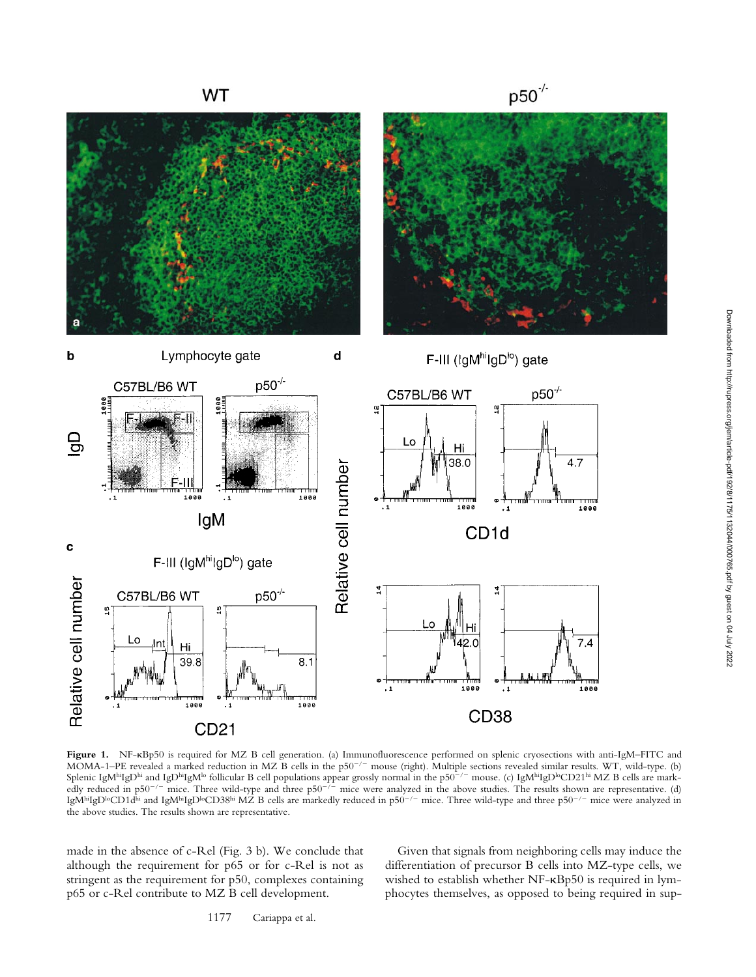

**Figure 1.** NF-kBp50 is required for MZ B cell generation. (a) Immunofluorescence performed on splenic cryosections with anti-IgM–FITC and MOMA-1–PE revealed a marked reduction in MZ B cells in the p50<sup>-/-</sup> mouse (right). Multiple sections revealed similar results. WT, wild-type. (b) Splenic IgMʰIgDʰi and IgDʰIgMʰ follicular B cell populations appear grossly normal in the p50<sup>-/-</sup> mouse. (c) IgMʰIgDʰCD21ʰi MZ B cells are markedly reduced in p50<sup>-/-</sup> mice. Three wild-type and three p50<sup>-/-</sup> mice were analyzed in the above studies. The results shown are representative. (d) IgM $^{\rm hi}$ IgD $^{\rm lo}$ CD1d $^{\rm hi}$  and IgM $^{\rm bi}$ IgD $^{\rm lo}$ CD38 $^{\rm hi}$  MZ B cells are markedly reduced in p50 $^{-/-}$  mice. Three wild-type and three p50 $^{-/-}$  mice were analyzed in the above studies. The results shown are representative.

made in the absence of c-Rel (Fig. 3 b). We conclude that although the requirement for p65 or for c-Rel is not as stringent as the requirement for p50, complexes containing p65 or c-Rel contribute to MZ B cell development.

Given that signals from neighboring cells may induce the differentiation of precursor B cells into MZ-type cells, we wished to establish whether NF-kBp50 is required in lymphocytes themselves, as opposed to being required in sup-

1177 Cariappa et al.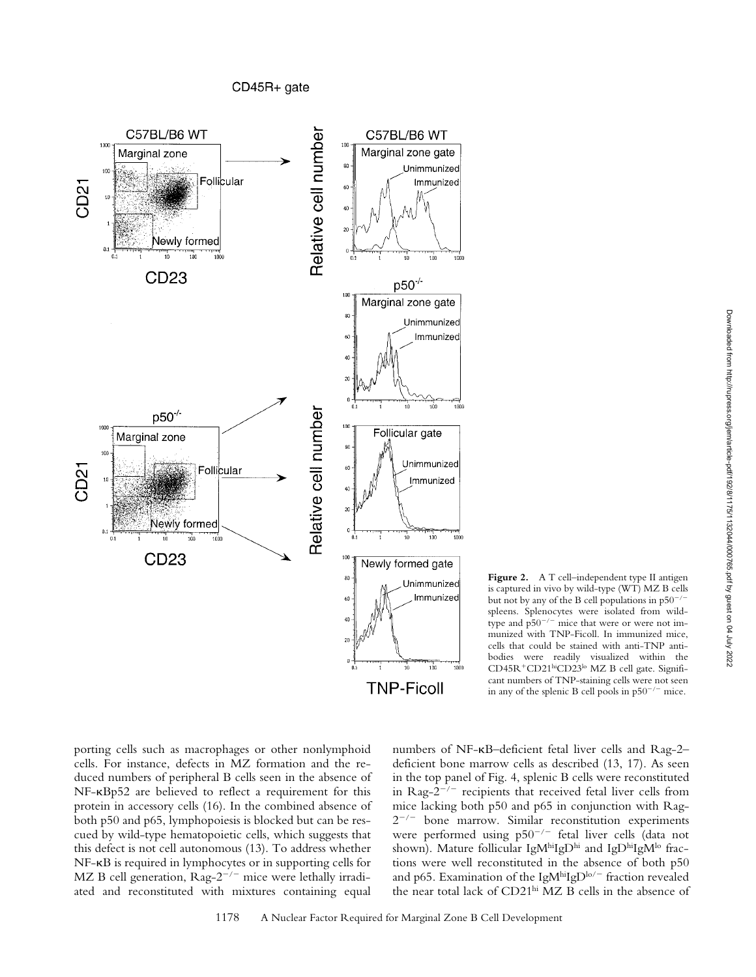

**Figure 2.** A T cell–independent type II antigen is captured in vivo by wild-type (WT) MZ B cells but not by any of the B cell populations in  $p50^{-2}$ spleens. Splenocytes were isolated from wildtype and  $p50^{-/-}$  mice that were or were not immunized with TNP-Ficoll. In immunized mice, cells that could be stained with anti-TNP antibodies were readily visualized within the CD45R<sup>+</sup>CD21hiCD23lo MZ B cell gate. Significant numbers of TNP-staining cells were not seen in any of the splenic B cell pools in  $p50^{-/-}$  mice.

porting cells such as macrophages or other nonlymphoid cells. For instance, defects in MZ formation and the reduced numbers of peripheral B cells seen in the absence of NF-kBp52 are believed to reflect a requirement for this protein in accessory cells (16). In the combined absence of both p50 and p65, lymphopoiesis is blocked but can be rescued by wild-type hematopoietic cells, which suggests that this defect is not cell autonomous (13). To address whether NF-kB is required in lymphocytes or in supporting cells for MZ B cell generation,  $\text{Rag-2}^{-/-}$  mice were lethally irradiated and reconstituted with mixtures containing equal

numbers of NF-kB–deficient fetal liver cells and Rag-2– deficient bone marrow cells as described (13, 17). As seen in the top panel of Fig. 4, splenic B cells were reconstituted in Rag- $2^{-/-}$  recipients that received fetal liver cells from mice lacking both p50 and p65 in conjunction with Rag- $2^{-/-}$  bone marrow. Similar reconstitution experiments were performed using  $p50^{-/-}$  fetal liver cells (data not shown). Mature follicular IgMhiIgDhi and IgDhiIgMlo fractions were well reconstituted in the absence of both p50 and p65. Examination of the IgM $h$ iIgD $h$ o/- fraction revealed the near total lack of CD21hi MZ B cells in the absence of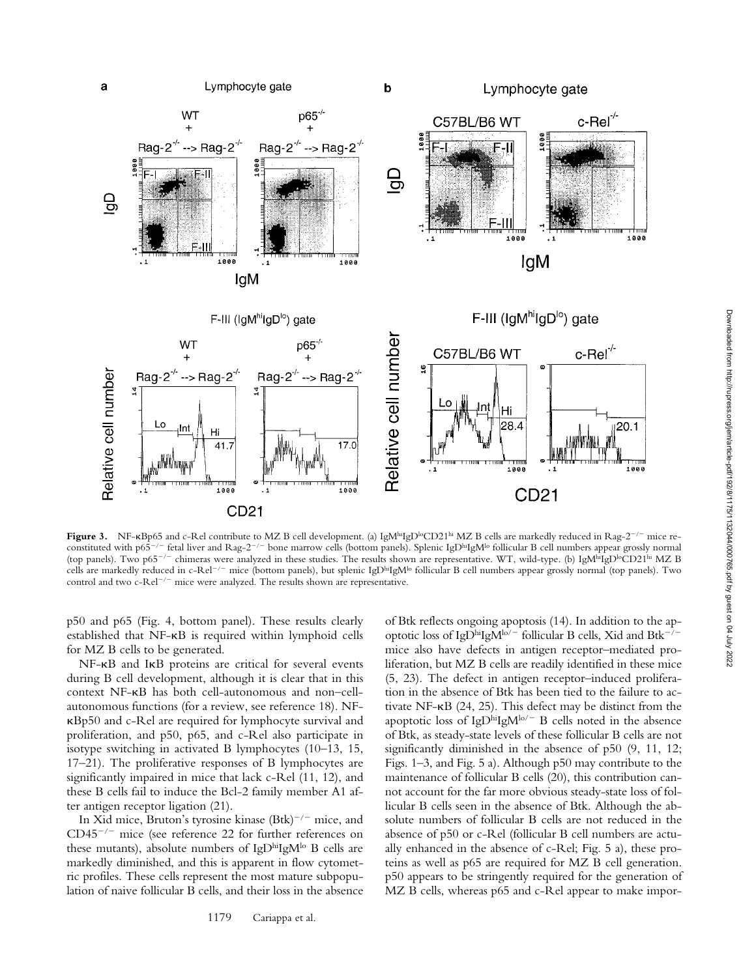

Figure 3. NF-KBp65 and c-Rel contribute to MZ B cell development. (a) IgM<sup>hi</sup>IgD<sup>I</sup>°CD21<sup>hi</sup> MZ B cells are markedly reduced in Rag-2<sup>-/-</sup> mice reconstituted with p65<sup>-/-</sup> fetal liver and Rag-2<sup>-/-</sup> bone marrow cells (bottom panels). Splenic IgD<sup>hi</sup>IgM<sup>lo</sup> follicular B cell numbers appear grossly normal (top panels). Two p65<sup>-/-</sup> chimeras were analyzed in these studies. The results shown are representative. WT, wild-type. (b) IgM<sup>hi</sup>IgD<sup>lo</sup>CD21<sup>hi</sup> MZ B cells are markedly reduced in c-Rel<sup>-/-</sup> mice (bottom panels), but splenic IgD<sup>hi</sup>IgM<sup>lo</sup> follicular B cell numbers appear grossly normal (top panels). Two control and two  $c$ -Rel<sup> $-/-$ </sup> mice were analyzed. The results shown are representative.

p50 and p65 (Fig. 4, bottom panel). These results clearly established that NF-kB is required within lymphoid cells for MZ B cells to be generated.

NF-kB and IkB proteins are critical for several events during B cell development, although it is clear that in this context NF-kB has both cell-autonomous and non–cellautonomous functions (for a review, see reference 18). NFkBp50 and c-Rel are required for lymphocyte survival and proliferation, and p50, p65, and c-Rel also participate in isotype switching in activated B lymphocytes (10–13, 15, 17–21). The proliferative responses of B lymphocytes are significantly impaired in mice that lack c-Rel (11, 12), and these B cells fail to induce the Bcl-2 family member A1 after antigen receptor ligation (21).

In Xid mice, Bruton's tyrosine kinase (Btk)<sup>-/-</sup> mice, and  $CD45^{-/-}$  mice (see reference 22 for further references on these mutants), absolute numbers of IgDhiIgM<sup>lo</sup> B cells are markedly diminished, and this is apparent in flow cytometric profiles. These cells represent the most mature subpopulation of naive follicular B cells, and their loss in the absence of Btk reflects ongoing apoptosis (14). In addition to the apoptotic loss of IgDhiIgM $\rm{^{lo/-}}$  follicular B cells, Xid and Btk<sup>-/-</sup> mice also have defects in antigen receptor–mediated proliferation, but MZ B cells are readily identified in these mice (5, 23). The defect in antigen receptor–induced proliferation in the absence of Btk has been tied to the failure to activate NF-kB (24, 25). This defect may be distinct from the apoptotic loss of IgDhiIgM $\text{lo}$ /- B cells noted in the absence of Btk, as steady-state levels of these follicular B cells are not significantly diminished in the absence of p50  $(9, 11, 12)$ ; Figs. 1–3, and Fig. 5 a). Although p50 may contribute to the maintenance of follicular B cells (20), this contribution cannot account for the far more obvious steady-state loss of follicular B cells seen in the absence of Btk. Although the absolute numbers of follicular B cells are not reduced in the absence of p50 or c-Rel (follicular B cell numbers are actually enhanced in the absence of c-Rel; Fig. 5 a), these proteins as well as p65 are required for MZ B cell generation. p50 appears to be stringently required for the generation of MZ B cells, whereas p65 and c-Rel appear to make impor-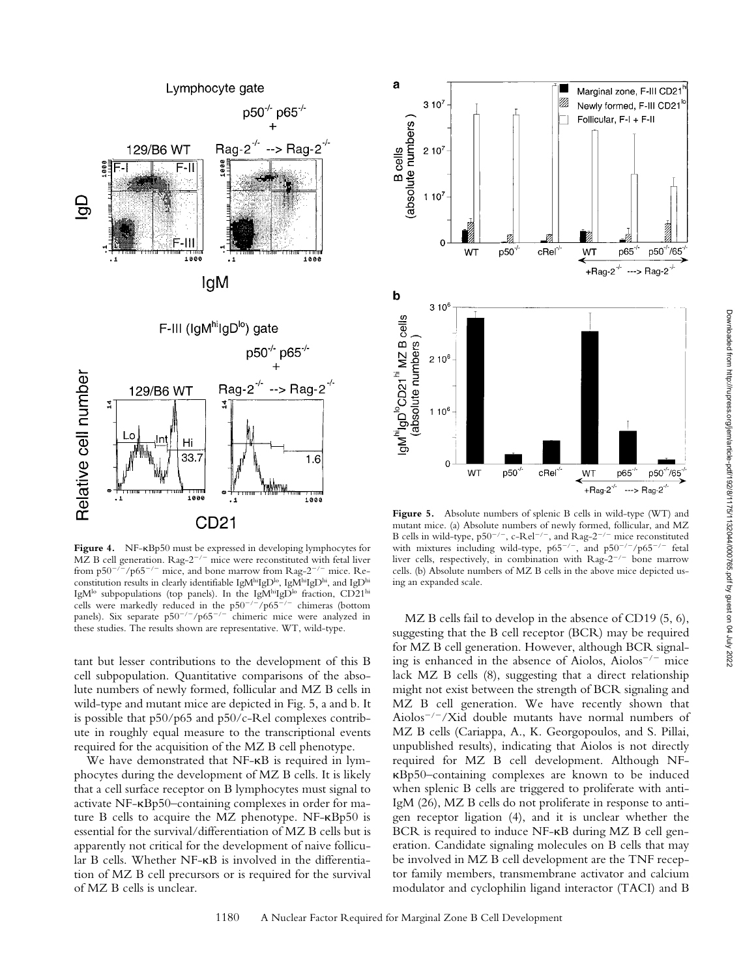

**Figure 4.** NF-kBp50 must be expressed in developing lymphocytes for MZ B cell generation.  $\text{Rag-2}^{-/-}$  mice were reconstituted with fetal liver from  $p50^{-/-}$ / $p65^{-/-}$  mice, and bone marrow from Rag-2<sup>-/-</sup> mice. Reconstitution results in clearly identifiable IgMhiIgD<sup>lo</sup>, IgMhiIgDhi, and IgDhi IgM<sup>lo</sup> subpopulations (top panels). In the IgM<sup>hi</sup>IgD<sup>lo</sup> fraction, CD21<sup>hi</sup> cells were markedly reduced in the  $p50^{-/-}/p65^{-/-}$  chimeras (bottom panels). Six separate  $p50^{-/-}/p65^{-/-}$  chimeric mice were analyzed in these studies. The results shown are representative. WT, wild-type.

tant but lesser contributions to the development of this B cell subpopulation. Quantitative comparisons of the absolute numbers of newly formed, follicular and MZ B cells in wild-type and mutant mice are depicted in Fig. 5, a and b. It is possible that p50/p65 and p50/c-Rel complexes contribute in roughly equal measure to the transcriptional events required for the acquisition of the MZ B cell phenotype.

We have demonstrated that NF-KB is required in lymphocytes during the development of MZ B cells. It is likely that a cell surface receptor on B lymphocytes must signal to activate NF-kBp50–containing complexes in order for mature B cells to acquire the MZ phenotype. NF-kBp50 is essential for the survival/differentiation of MZ B cells but is apparently not critical for the development of naive follicular B cells. Whether NF- $\kappa$ B is involved in the differentiation of MZ B cell precursors or is required for the survival of MZ B cells is unclear.



Figure 5. Absolute numbers of splenic B cells in wild-type (WT) and mutant mice. (a) Absolute numbers of newly formed, follicular, and MZ B cells in wild-type,  $p50^{-/-}$ , c-Rel<sup>-/-</sup>, and Rag-2<sup>-/-</sup> mice reconstituted with mixtures including wild-type,  $p65^{-/-}$ , and  $p50^{-/-}/p65^{-/-}$  fetal liver cells, respectively, in combination with  $\text{Rag-}2^{-/-}$  bone marrow cells. (b) Absolute numbers of MZ B cells in the above mice depicted using an expanded scale.

MZ B cells fail to develop in the absence of CD19 (5, 6), suggesting that the B cell receptor (BCR) may be required for MZ B cell generation. However, although BCR signaling is enhanced in the absence of Aiolos, Aiolos<sup> $-/-$ </sup> mice lack MZ B cells (8), suggesting that a direct relationship might not exist between the strength of BCR signaling and MZ B cell generation. We have recently shown that Aiolos<sup> $-/-$ </sup>/Xid double mutants have normal numbers of MZ B cells (Cariappa, A., K. Georgopoulos, and S. Pillai, unpublished results), indicating that Aiolos is not directly required for MZ B cell development. Although NFkBp50–containing complexes are known to be induced when splenic B cells are triggered to proliferate with anti-IgM (26), MZ B cells do not proliferate in response to antigen receptor ligation (4), and it is unclear whether the BCR is required to induce NF- $\kappa$ B during MZ B cell generation. Candidate signaling molecules on B cells that may be involved in MZ B cell development are the TNF receptor family members, transmembrane activator and calcium modulator and cyclophilin ligand interactor (TACI) and B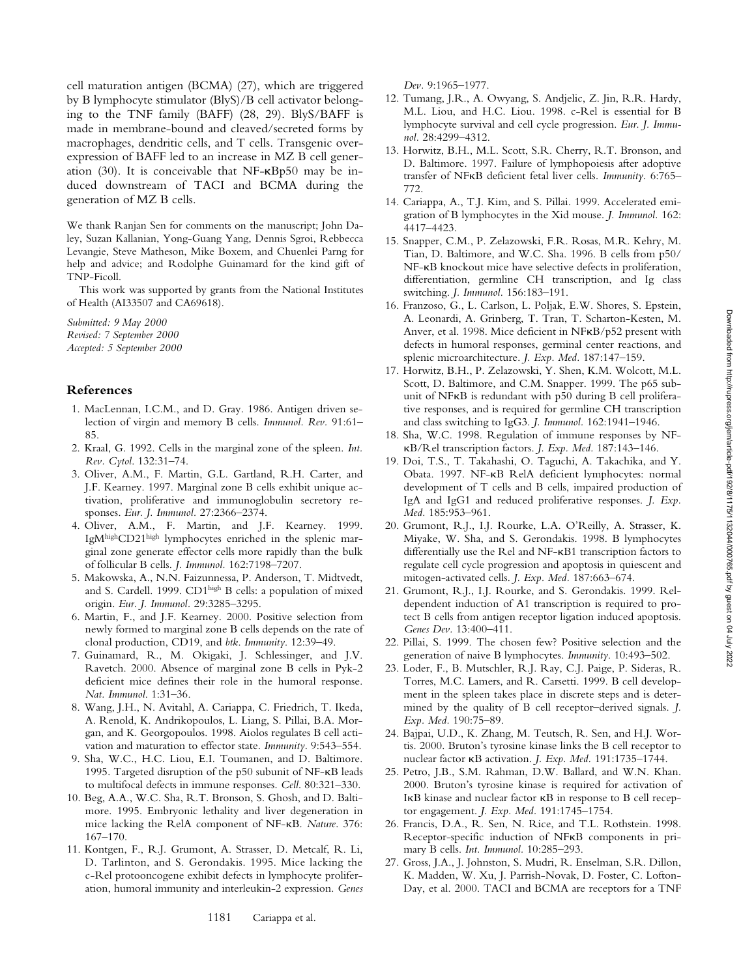cell maturation antigen (BCMA) (27), which are triggered by B lymphocyte stimulator (BlyS)/B cell activator belonging to the TNF family (BAFF) (28, 29). BlyS/BAFF is made in membrane-bound and cleaved/secreted forms by macrophages, dendritic cells, and T cells. Transgenic overexpression of BAFF led to an increase in MZ B cell generation (30). It is conceivable that NF-kBp50 may be induced downstream of TACI and BCMA during the generation of MZ B cells.

We thank Ranjan Sen for comments on the manuscript; John Daley, Suzan Kallanian, Yong-Guang Yang, Dennis Sgroi, Rebbecca Levangie, Steve Matheson, Mike Boxem, and Chuenlei Parng for help and advice; and Rodolphe Guinamard for the kind gift of TNP-Ficoll.

This work was supported by grants from the National Institutes of Health (AI33507 and CA69618).

*Submitted: 9 May 2000 Revised: 7 September 2000 Accepted: 5 September 2000*

### **References**

- 1. MacLennan, I.C.M., and D. Gray. 1986. Antigen driven selection of virgin and memory B cells. *Immunol. Rev.* 91:61– 85.
- 2. Kraal, G. 1992. Cells in the marginal zone of the spleen. *Int. Rev. Cytol*. 132:31–74.
- 3. Oliver, A.M., F. Martin, G.L. Gartland, R.H. Carter, and J.F. Kearney. 1997. Marginal zone B cells exhibit unique activation, proliferative and immunoglobulin secretory responses. *Eur. J. Immunol.* 27:2366–2374.
- 4. Oliver, A.M., F. Martin, and J.F. Kearney. 1999. IgMhighCD21high lymphocytes enriched in the splenic marginal zone generate effector cells more rapidly than the bulk of follicular B cells. *J. Immunol.* 162:7198–7207.
- 5. Makowska, A., N.N. Faizunnessa, P. Anderson, T. Midtvedt, and S. Cardell. 1999. CD1high B cells: a population of mixed origin. *Eur. J. Immunol.* 29:3285–3295.
- 6. Martin, F., and J.F. Kearney. 2000. Positive selection from newly formed to marginal zone B cells depends on the rate of clonal production, CD19, and *btk*. *Immunity*. 12:39–49.
- 7. Guinamard, R., M. Okigaki, J. Schlessinger, and J.V. Ravetch. 2000. Absence of marginal zone B cells in Pyk-2 deficient mice defines their role in the humoral response. *Nat. Immunol*. 1:31–36.
- 8. Wang, J.H., N. Avitahl, A. Cariappa, C. Friedrich, T. Ikeda, A. Renold, K. Andrikopoulos, L. Liang, S. Pillai, B.A. Morgan, and K. Georgopoulos. 1998. Aiolos regulates B cell activation and maturation to effector state. *Immunity*. 9:543–554.
- 9. Sha, W.C., H.C. Liou, E.I. Toumanen, and D. Baltimore. 1995. Targeted disruption of the p50 subunit of NF-kB leads to multifocal defects in immune responses. *Cell*. 80:321–330.
- 10. Beg, A.A., W.C. Sha, R.T. Bronson, S. Ghosh, and D. Baltimore. 1995. Embryonic lethality and liver degeneration in mice lacking the RelA component of NF-kB. *Nature*. 376: 167–170.
- 11. Kontgen, F., R.J. Grumont, A. Strasser, D. Metcalf, R. Li, D. Tarlinton, and S. Gerondakis. 1995. Mice lacking the c-Rel protooncogene exhibit defects in lymphocyte proliferation, humoral immunity and interleukin-2 expression. *Genes*

*Dev.* 9:1965–1977.

- 12. Tumang, J.R., A. Owyang, S. Andjelic, Z. Jin, R.R. Hardy, M.L. Liou, and H.C. Liou. 1998. c-Rel is essential for B lymphocyte survival and cell cycle progression. *Eur. J. Immunol.* 28:4299–4312.
- 13. Horwitz, B.H., M.L. Scott, S.R. Cherry, R.T. Bronson, and D. Baltimore. 1997. Failure of lymphopoiesis after adoptive transfer of NFkB deficient fetal liver cells. *Immunity*. 6:765– 772.
- 14. Cariappa, A., T.J. Kim, and S. Pillai. 1999. Accelerated emigration of B lymphocytes in the Xid mouse. *J. Immunol.* 162: 4417–4423.
- 15. Snapper, C.M., P. Zelazowski, F.R. Rosas, M.R. Kehry, M. Tian, D. Baltimore, and W.C. Sha. 1996. B cells from p50/ NF-kB knockout mice have selective defects in proliferation, differentiation, germline CH transcription, and Ig class switching. *J. Immunol.* 156:183–191.
- 16. Franzoso, G., L. Carlson, L. Poljak, E.W. Shores, S. Epstein, A. Leonardi, A. Grinberg, T. Tran, T. Scharton-Kesten, M. Anver, et al. 1998. Mice deficient in NFkB/p52 present with defects in humoral responses, germinal center reactions, and splenic microarchitecture. *J. Exp. Med.* 187:147–159.
- 17. Horwitz, B.H., P. Zelazowski, Y. Shen, K.M. Wolcott, M.L. Scott, D. Baltimore, and C.M. Snapper. 1999. The p65 subunit of NFkB is redundant with p50 during B cell proliferative responses, and is required for germline CH transcription and class switching to IgG3. *J. Immunol.* 162:1941–1946.
- 18. Sha, W.C. 1998. Regulation of immune responses by NFkB/Rel transcription factors. *J. Exp. Med.* 187:143–146.
- 19. Doi, T.S., T. Takahashi, O. Taguchi, A. Takachika, and Y. Obata. 1997. NF-kB RelA deficient lymphocytes: normal development of T cells and B cells, impaired production of IgA and IgG1 and reduced proliferative responses. *J. Exp. Med.* 185:953–961.
- 20. Grumont, R.J., I.J. Rourke, L.A. O'Reilly, A. Strasser, K. Miyake, W. Sha, and S. Gerondakis. 1998. B lymphocytes differentially use the Rel and NF-kB1 transcription factors to regulate cell cycle progression and apoptosis in quiescent and mitogen-activated cells. *J. Exp. Med.* 187:663–674.
- 21. Grumont, R.J., I.J. Rourke, and S. Gerondakis. 1999. Reldependent induction of A1 transcription is required to protect B cells from antigen receptor ligation induced apoptosis. *Genes Dev.* 13:400–411.
- 22. Pillai, S. 1999. The chosen few? Positive selection and the generation of naive B lymphocytes. *Immunity*. 10:493–502.
- 23. Loder, F., B. Mutschler, R.J. Ray, C.J. Paige, P. Sideras, R. Torres, M.C. Lamers, and R. Carsetti. 1999. B cell development in the spleen takes place in discrete steps and is determined by the quality of B cell receptor–derived signals. *J. Exp. Med.* 190:75–89.
- 24. Bajpai, U.D., K. Zhang, M. Teutsch, R. Sen, and H.J. Wortis. 2000. Bruton's tyrosine kinase links the B cell receptor to nuclear factor kB activation. *J. Exp. Med.* 191:1735–1744.
- 25. Petro, J.B., S.M. Rahman, D.W. Ballard, and W.N. Khan. 2000. Bruton's tyrosine kinase is required for activation of IkB kinase and nuclear factor kB in response to B cell receptor engagement. *J. Exp. Med.* 191:1745–1754.
- 26. Francis, D.A., R. Sen, N. Rice, and T.L. Rothstein. 1998. Receptor-specific induction of NFkB components in primary B cells. *Int. Immunol.* 10:285–293.
- 27. Gross, J.A., J. Johnston, S. Mudri, R. Enselman, S.R. Dillon, K. Madden, W. Xu, J. Parrish-Novak, D. Foster, C. Lofton-Day, et al. 2000. TACI and BCMA are receptors for a TNF